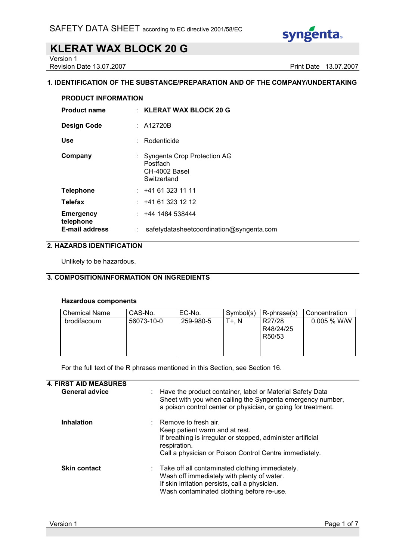

Version 1

Revision Date 13.07.2007 **Print Date 13.07.2007** 

#### 1. IDENTIFICATION OF THE SUBSTANCE/PREPARATION AND OF THE COMPANY/UNDERTAKING

| <b>PRODUCT INFORMATION</b>    |  |                                                                         |  |
|-------------------------------|--|-------------------------------------------------------------------------|--|
| <b>Product name</b>           |  | $\pm$ KLERAT WAX BLOCK 20 G                                             |  |
| <b>Design Code</b>            |  | : A12720B                                                               |  |
| Use                           |  | Rodenticide                                                             |  |
| Company                       |  | Syngenta Crop Protection AG<br>Postfach<br>CH-4002 Basel<br>Switzerland |  |
| <b>Telephone</b>              |  | : 41613231111                                                           |  |
| <b>Telefax</b>                |  | : 441613231212                                                          |  |
| <b>Emergency</b><br>telephone |  | : 4441484538444                                                         |  |
| <b>E-mail address</b>         |  | safetydatasheetcoordination@syngenta.com                                |  |

### 2. HAZARDS IDENTIFICATION

Unlikely to be hazardous.

### 3. COMPOSITION/INFORMATION ON INGREDIENTS

#### Hazardous components

| <b>Chemical Name</b> | CAS-No.    | EC-No.    | Symbol(s) | $R$ -phrase $(s)$                          | Concentration |
|----------------------|------------|-----------|-----------|--------------------------------------------|---------------|
| brodifacoum          | 56073-10-0 | 259-980-5 | T+. N     | R27/28<br>R48/24/25<br>R <sub>50</sub> /53 | $0.005 %$ W/W |

For the full text of the R phrases mentioned in this Section, see Section 16.

| <b>General advice</b> | : Have the product container, label or Material Safety Data<br>Sheet with you when calling the Syngenta emergency number,<br>a poison control center or physician, or going for treatment.                   |
|-----------------------|--------------------------------------------------------------------------------------------------------------------------------------------------------------------------------------------------------------|
| <b>Inhalation</b>     | $\therefore$ Remove to fresh air.<br>Keep patient warm and at rest.<br>If breathing is irregular or stopped, administer artificial<br>respiration.<br>Call a physician or Poison Control Centre immediately. |
| <b>Skin contact</b>   | : Take off all contaminated clothing immediately.<br>Wash off immediately with plenty of water.<br>If skin irritation persists, call a physician.<br>Wash contaminated clothing before re-use.               |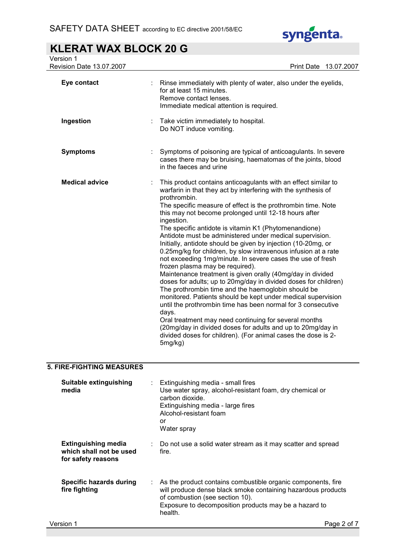

| Version 1<br>Revision Date 13.07.2007 | Print Date 13.07.2007                                                                                                                                                                                                                                                                                                                                                                                                                                                                                                                                                                                                                                                                                                                                                                                                                                                                                                                                                                                                                                                                                                                                                                |
|---------------------------------------|--------------------------------------------------------------------------------------------------------------------------------------------------------------------------------------------------------------------------------------------------------------------------------------------------------------------------------------------------------------------------------------------------------------------------------------------------------------------------------------------------------------------------------------------------------------------------------------------------------------------------------------------------------------------------------------------------------------------------------------------------------------------------------------------------------------------------------------------------------------------------------------------------------------------------------------------------------------------------------------------------------------------------------------------------------------------------------------------------------------------------------------------------------------------------------------|
| Eye contact                           | Rinse immediately with plenty of water, also under the eyelids,<br>for at least 15 minutes.<br>Remove contact lenses.<br>Immediate medical attention is required.                                                                                                                                                                                                                                                                                                                                                                                                                                                                                                                                                                                                                                                                                                                                                                                                                                                                                                                                                                                                                    |
| Ingestion                             | Take victim immediately to hospital.<br>Do NOT induce vomiting.                                                                                                                                                                                                                                                                                                                                                                                                                                                                                                                                                                                                                                                                                                                                                                                                                                                                                                                                                                                                                                                                                                                      |
| <b>Symptoms</b>                       | Symptoms of poisoning are typical of anticoagulants. In severe<br>cases there may be bruising, haematomas of the joints, blood<br>in the faeces and urine                                                                                                                                                                                                                                                                                                                                                                                                                                                                                                                                                                                                                                                                                                                                                                                                                                                                                                                                                                                                                            |
| <b>Medical advice</b>                 | This product contains anticoagulants with an effect similar to<br>warfarin in that they act by interfering with the synthesis of<br>prothrombin.<br>The specific measure of effect is the prothrombin time. Note<br>this may not become prolonged until 12-18 hours after<br>ingestion.<br>The specific antidote is vitamin K1 (Phytomenandione)<br>Antidote must be administered under medical supervision.<br>Initially, antidote should be given by injection (10-20mg, or<br>0.25mg/kg for children, by slow intravenous infusion at a rate<br>not exceeding 1mg/minute. In severe cases the use of fresh<br>frozen plasma may be required).<br>Maintenance treatment is given orally (40mg/day in divided<br>doses for adults; up to 20mg/day in divided doses for children)<br>The prothrombin time and the haemoglobin should be<br>monitored. Patients should be kept under medical supervision<br>until the prothrombin time has been normal for 3 consecutive<br>days.<br>Oral treatment may need continuing for several months<br>(20mg/day in divided doses for adults and up to 20mg/day in<br>divided doses for children). (For animal cases the dose is 2-<br>5mg/kg) |

## 5. FIRE-FIGHTING MEASURES

| <b>Suitable extinguishing</b><br>media                                      | Extinguishing media - small fires<br>Use water spray, alcohol-resistant foam, dry chemical or<br>carbon dioxide.<br>Extinguishing media - large fires<br>Alcohol-resistant foam<br>or<br>Water spray                                      |
|-----------------------------------------------------------------------------|-------------------------------------------------------------------------------------------------------------------------------------------------------------------------------------------------------------------------------------------|
| <b>Extinguishing media</b><br>which shall not be used<br>for safety reasons | Do not use a solid water stream as it may scatter and spread<br>fire.                                                                                                                                                                     |
| <b>Specific hazards during</b><br>fire fighting                             | As the product contains combustible organic components, fire<br>÷.<br>will produce dense black smoke containing hazardous products<br>of combustion (see section 10).<br>Exposure to decomposition products may be a hazard to<br>health. |
| Version 1                                                                   | Page 2 of 7                                                                                                                                                                                                                               |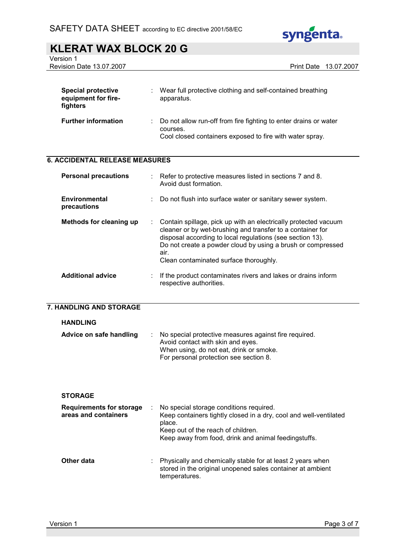

Version 1

Revision Date 13.07.2007 **Print Date 13.07.2007** 

| <b>Special protective</b><br>equipment for fire-<br>fighters | ٠ | Wear full protective clothing and self-contained breathing<br>apparatus.                                                                 |
|--------------------------------------------------------------|---|------------------------------------------------------------------------------------------------------------------------------------------|
| <b>Further information</b>                                   |   | Do not allow run-off from fire fighting to enter drains or water<br>courses.<br>Cool closed containers exposed to fire with water spray. |

## 6. ACCIDENTAL RELEASE MEASURES

| <b>Personal precautions</b>         | $\therefore$ Refer to protective measures listed in sections 7 and 8.<br>Avoid dust formation.                                                                                                                                                                                                                |
|-------------------------------------|---------------------------------------------------------------------------------------------------------------------------------------------------------------------------------------------------------------------------------------------------------------------------------------------------------------|
| <b>Environmental</b><br>precautions | Do not flush into surface water or sanitary sewer system.                                                                                                                                                                                                                                                     |
| Methods for cleaning up             | : Contain spillage, pick up with an electrically protected vacuum<br>cleaner or by wet-brushing and transfer to a container for<br>disposal according to local regulations (see section 13).<br>Do not create a powder cloud by using a brush or compressed<br>air.<br>Clean contaminated surface thoroughly. |
| <b>Additional advice</b>            | If the product contaminates rivers and lakes or drains inform<br>respective authorities.                                                                                                                                                                                                                      |

#### 7. HANDLING AND STORAGE

#### HANDLING

| Advice on safe handling | : No special protective measures against fire required.<br>Avoid contact with skin and eyes. |
|-------------------------|----------------------------------------------------------------------------------------------|
|                         | When using, do not eat, drink or smoke.<br>For personal protection see section 8.            |

#### **STORAGE**

| <b>Requirements for storage</b><br>areas and containers | No special storage conditions required.<br>Keep containers tightly closed in a dry, cool and well-ventilated<br>place.<br>Keep out of the reach of children.<br>Keep away from food, drink and animal feedingstuffs. |
|---------------------------------------------------------|----------------------------------------------------------------------------------------------------------------------------------------------------------------------------------------------------------------------|
| Other data                                              | Physically and chemically stable for at least 2 years when<br>stored in the original unopened sales container at ambient<br>temperatures.                                                                            |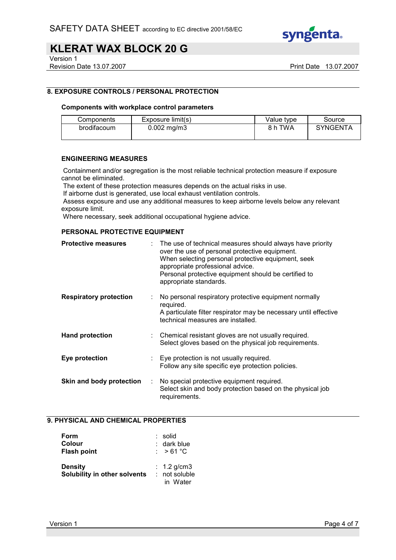

Version 1

Revision Date 13.07.2007 **Print Date 13.07.2007** 

### 8. EXPOSURE CONTROLS / PERSONAL PROTECTION

#### Components with workplace control parameters

| Components  | Exposure limit(s) | Value type | Source          |
|-------------|-------------------|------------|-----------------|
| brodifacoum | $0.002$ mg/m3     | 8 h TWA    | <b>SYNGENTA</b> |

#### ENGINEERING MEASURES

 Containment and/or segregation is the most reliable technical protection measure if exposure cannot be eliminated.

The extent of these protection measures depends on the actual risks in use.

If airborne dust is generated, use local exhaust ventilation controls.

 Assess exposure and use any additional measures to keep airborne levels below any relevant exposure limit.

Where necessary, seek additional occupational hygiene advice.

#### PERSONAL PROTECTIVE EQUIPMENT

| <b>Protective measures</b>    |   | : The use of technical measures should always have priority<br>over the use of personal protective equipment.<br>When selecting personal protective equipment, seek<br>appropriate professional advice.<br>Personal protective equipment should be certified to<br>appropriate standards. |
|-------------------------------|---|-------------------------------------------------------------------------------------------------------------------------------------------------------------------------------------------------------------------------------------------------------------------------------------------|
| <b>Respiratory protection</b> | ÷ | No personal respiratory protective equipment normally<br>required.<br>A particulate filter respirator may be necessary until effective<br>technical measures are installed.                                                                                                               |
| <b>Hand protection</b>        |   | Chemical resistant gloves are not usually required.<br>Select gloves based on the physical job requirements.                                                                                                                                                                              |
| Eye protection                |   | Eye protection is not usually required.<br>Follow any site specific eye protection policies.                                                                                                                                                                                              |
| Skin and body protection      | ÷ | No special protective equipment required.<br>Select skin and body protection based on the physical job<br>requirements.                                                                                                                                                                   |

### 9. PHYSICAL AND CHEMICAL PROPERTIES

| Form<br>Colour<br><b>Flash point</b>           | : solid<br>$:$ dark blue<br>: $>61^{\circ}$ C |
|------------------------------------------------|-----------------------------------------------|
| <b>Density</b><br>Solubility in other solvents | : $1.2$ g/cm3<br>$:$ not soluble<br>in Water  |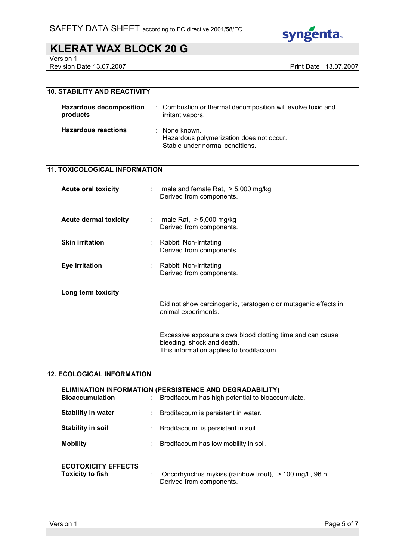

Version 1

Revision Date 13.07.2007 **Print Date 13.07.2007** 

## 10. STABILITY AND REACTIVITY

| <b>Hazardous decomposition</b><br>products | : Combustion or thermal decomposition will evolve toxic and<br>irritant vapors.              |
|--------------------------------------------|----------------------------------------------------------------------------------------------|
| <b>Hazardous reactions</b>                 | : None known.<br>Hazardous polymerization does not occur.<br>Stable under normal conditions. |

#### 11. TOXICOLOGICAL INFORMATION

| <b>Acute oral toxicity</b>   | t in                     | male and female Rat, $>$ 5,000 mg/kg<br>Derived from components.                                                                     |
|------------------------------|--------------------------|--------------------------------------------------------------------------------------------------------------------------------------|
| <b>Acute dermal toxicity</b> | $\mathcal{L}_{\rm{max}}$ | male Rat, $> 5,000$ mg/kg<br>Derived from components.                                                                                |
| <b>Skin irritation</b>       |                          | : Rabbit: Non-Irritating<br>Derived from components.                                                                                 |
| Eye irritation               |                          | : Rabbit: Non-Irritating<br>Derived from components.                                                                                 |
| Long term toxicity           |                          | Did not show carcinogenic, teratogenic or mutagenic effects in<br>animal experiments.                                                |
|                              |                          | Excessive exposure slows blood clotting time and can cause<br>bleeding, shock and death.<br>This information applies to brodifacoum. |

#### 12. ECOLOGICAL INFORMATION

| <b>Bioaccumulation</b>                                | ELIMINATION INFORMATION (PERSISTENCE AND DEGRADABILITY)<br>Brodifacoum has high potential to bioaccumulate. |
|-------------------------------------------------------|-------------------------------------------------------------------------------------------------------------|
| <b>Stability in water</b>                             | Brodifacoum is persistent in water.                                                                         |
| <b>Stability in soil</b>                              | : Brodifacoum is persistent in soil.                                                                        |
| <b>Mobility</b>                                       | Brodifacoum has low mobility in soil.                                                                       |
| <b>ECOTOXICITY EFFECTS</b><br><b>Toxicity to fish</b> | Oncorhynchus mykiss (rainbow trout), > 100 mg/l, 96 h<br>Derived from components.                           |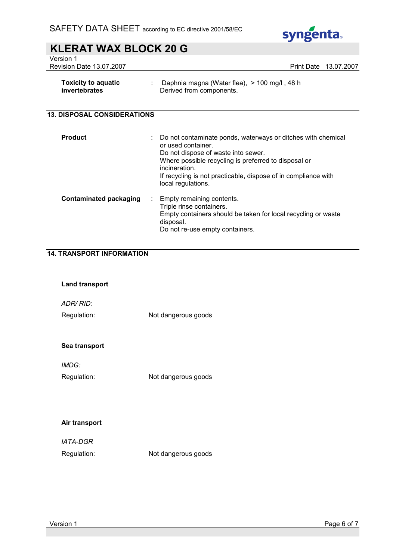

Version 1 Revision Date 13.07.2007 **Print Date 13.07.2007** 

| <b>Toxicity to aquatic</b><br>invertebrates | ÷ | Daphnia magna (Water flea), > 100 mg/l, 48 h<br>Derived from components.                                                                                                                                                                                                                   |
|---------------------------------------------|---|--------------------------------------------------------------------------------------------------------------------------------------------------------------------------------------------------------------------------------------------------------------------------------------------|
| <b>13. DISPOSAL CONSIDERATIONS</b>          |   |                                                                                                                                                                                                                                                                                            |
| <b>Product</b>                              |   | Do not contaminate ponds, waterways or ditches with chemical<br>or used container.<br>Do not dispose of waste into sewer.<br>Where possible recycling is preferred to disposal or<br>incineration.<br>If recycling is not practicable, dispose of in compliance with<br>local regulations. |
| Contaminated packaging                      | ÷ | Empty remaining contents.                                                                                                                                                                                                                                                                  |

## Triple rinse containers. Empty containers should be taken for local recycling or waste disposal. Do not re-use empty containers.

## 14. TRANSPORT INFORMATION

| <b>Land transport</b> |                     |
|-----------------------|---------------------|
| ADR/RID:              |                     |
| Regulation:           | Not dangerous goods |
|                       |                     |
| Sea transport         |                     |
| IMDG:                 |                     |
| Regulation:           | Not dangerous goods |
|                       |                     |
|                       |                     |
| Air transport         |                     |

| <i><b>IATA-DGR</b></i> |                     |
|------------------------|---------------------|
| Regulation:            | Not dangerous goods |